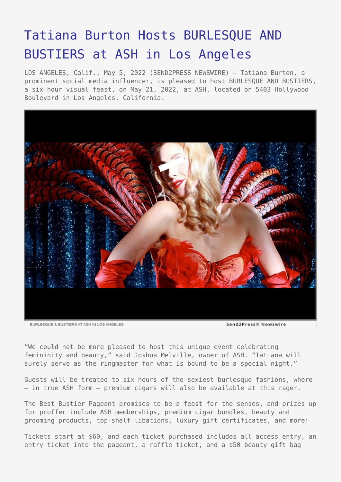## [Tatiana Burton Hosts BURLESQUE AND](https://www.send2press.com/wire/tatiana-burton-hosts-burlesque-and-bustiers-at-ash-in-los-angeles/) [BUSTIERS at ASH in Los Angeles](https://www.send2press.com/wire/tatiana-burton-hosts-burlesque-and-bustiers-at-ash-in-los-angeles/)

LOS ANGELES, Calif., May 5, 2022 (SEND2PRESS NEWSWIRE) — Tatiana Burton, a prominent social media influencer, is pleased to host BURLESQUE AND BUSTIERS, a six-hour visual feast, on May 21, 2022, at ASH, located on 5403 Hollywood Boulevard in Los Angeles, California.



"We could not be more pleased to host this unique event celebrating femininity and beauty," said Joshua Melville, owner of ASH. "Tatiana will surely serve as the ringmaster for what is bound to be a special night."

Guests will be treated to six hours of the sexiest burlesque fashions, where — in true ASH form — premium cigars will also be available at this rager.

The Best Bustier Pageant promises to be a feast for the senses, and prizes up for proffer include ASH memberships, premium cigar bundles, beauty and grooming products, top-shelf libations, luxury gift certificates, and more!

Tickets start at \$60, and each ticket purchased includes all-access entry, an entry ticket into the pageant, a raffle ticket, and a \$50 beauty gift bag